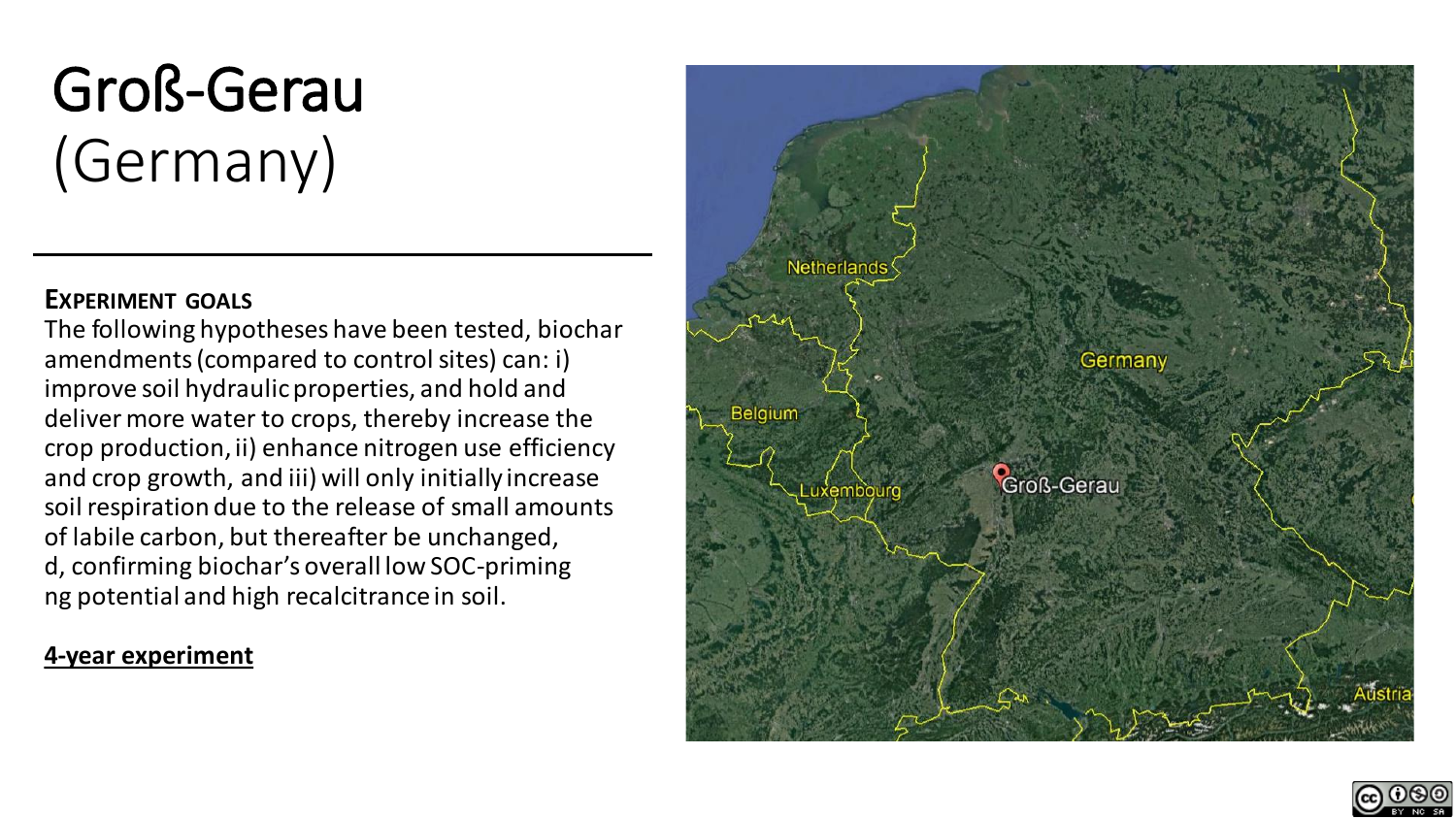# Groß-Gerau (Germany)

#### **EXPERIMENT GOALS**

The following hypotheses have been tested, biochar amendments (compared to control sites) can: i) improve soil hydraulic properties, and hold and deliver more water to crops, thereby increase the crop production, ii) enhance nitrogen use efficiency and crop growth, and iii) will only initially increase soil respiration due to the release of small amounts of labile carbon, but thereafter be unchanged, d, confirming biochar's overall low SOC-priming ng potential and high recalcitrance in soil.

# **4-year experiment**



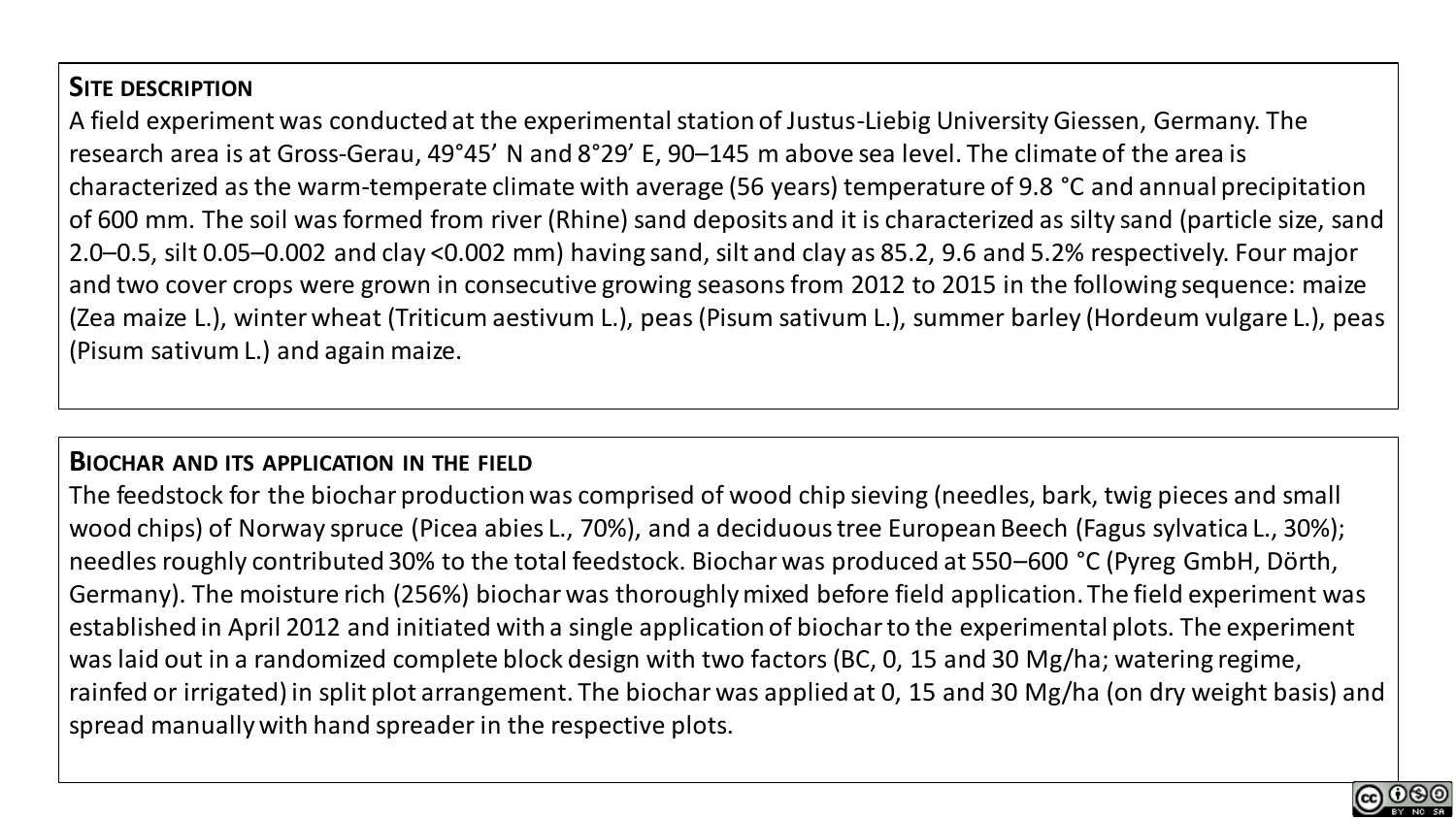# **SITE DESCRIPTION**

A field experiment was conducted at the experimental station of Justus-Liebig University Giessen, Germany. The research area is at Gross-Gerau, 49°45' N and 8°29' E, 90–145 m above sea level. The climate of the area is characterized as the warm-temperate climate with average (56 years) temperature of 9.8 °C and annual precipitation of 600 mm. The soil was formed from river (Rhine) sand deposits and it is characterized as silty sand (particle size, sand 2.0–0.5, silt 0.05–0.002 and clay <0.002 mm) having sand, silt and clay as 85.2, 9.6 and 5.2% respectively. Four major and two cover crops were grown in consecutive growing seasons from 2012 to 2015 in the following sequence: maize (Zea maize L.), winter wheat (Triticum aestivum L.), peas (Pisum sativum L.), summer barley (Hordeum vulgare L.), peas (Pisum sativum L.) and again maize.

#### **BIOCHAR AND ITS APPLICATION IN THE FIELD**

The feedstock for the biochar production was comprised of wood chip sieving (needles, bark, twig pieces and small wood chips) of Norway spruce (Picea abies L., 70%), and a deciduous tree European Beech (Fagus sylvatica L., 30%); needles roughly contributed 30% to the total feedstock. Biochar was produced at 550–600 °C (Pyreg GmbH, Dörth, Germany). The moisture rich (256%) biochar was thoroughly mixed before field application. The field experiment was established in April 2012 and initiated with a single application of biochar to the experimental plots. The experiment was laid out in a randomized complete block design with two factors (BC, 0, 15 and 30 Mg/ha; watering regime, rainfed or irrigated) in split plot arrangement. The biochar was applied at 0, 15 and 30 Mg/ha (on dry weight basis) and spread manually with hand spreader in the respective plots.

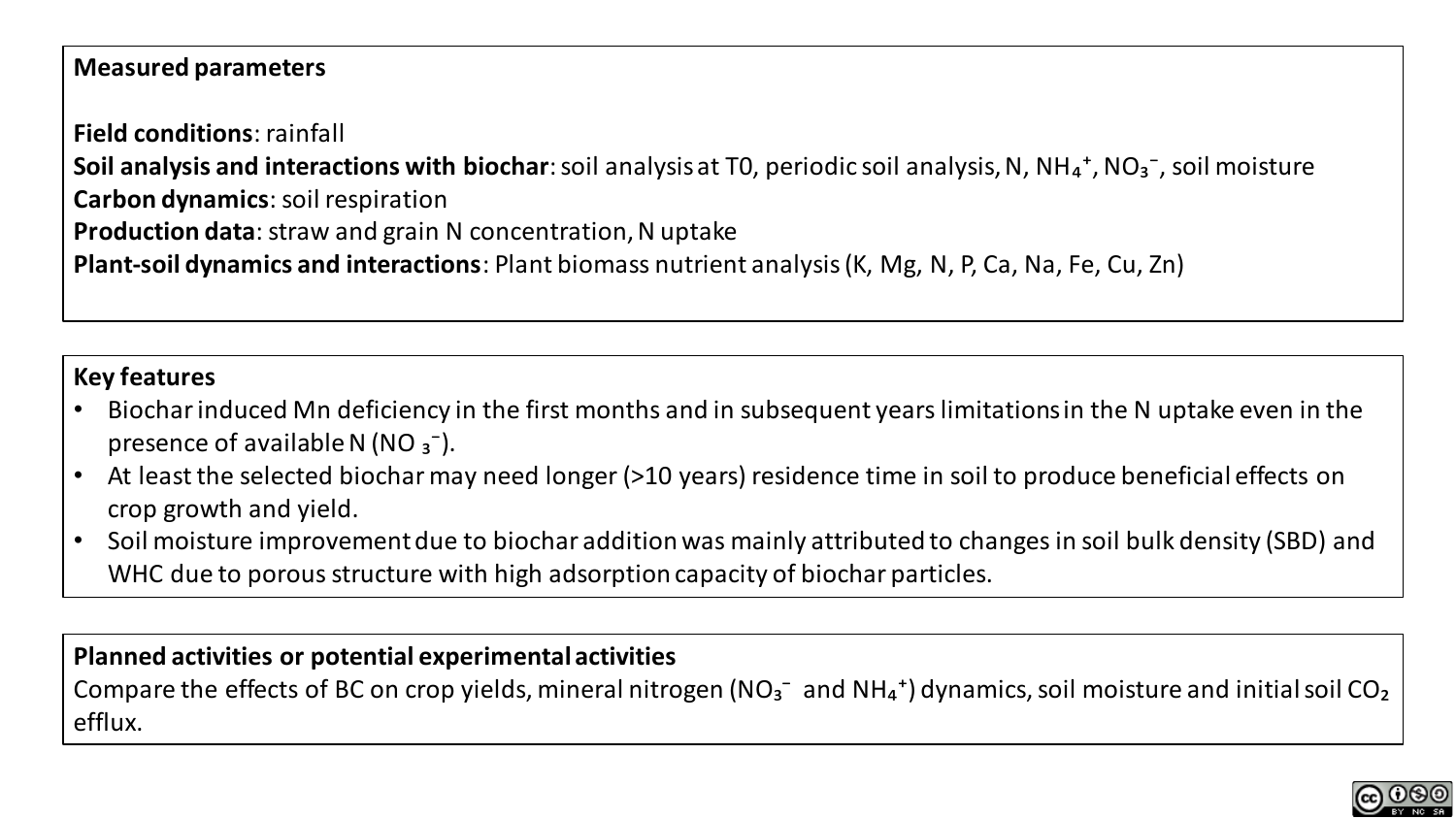## **Measured parameters**

**Field conditions**: rainfall **Soil analysis and interactions with biochar**: soil analysis at T0, periodic soil analysis, N, NH<sub>4</sub><sup>+</sup>, NO<sub>3</sub><sup>-</sup>, soil moisture **Carbon dynamics**: soil respiration **Production data**: straw and grain N concentration, N uptake **Plant-soil dynamics and interactions**: Plant biomass nutrient analysis (K, Mg, N, P, Ca, Na, Fe, Cu, Zn)

# **Key features**

- Biochar induced Mn deficiency in the first months and in subsequent years limitations in the N uptake even in the presence of available N (NO $_3^-$ ).
- At least the selected biochar may need longer (>10 years) residence time in soil to produce beneficial effects on crop growth and yield.
- Soil moisture improvement due to biochar addition was mainly attributed to changes in soil bulk density (SBD) and WHC due to porous structure with high adsorption capacity of biochar particles.

# **Planned activities or potential experimental activities**

Compare the effects of BC on crop yields, mineral nitrogen (NO<sub>3</sub><sup>-</sup> and NH<sub>4</sub><sup>+</sup>) dynamics, soil moisture and initial soil CO<sub>2</sub> efflux.